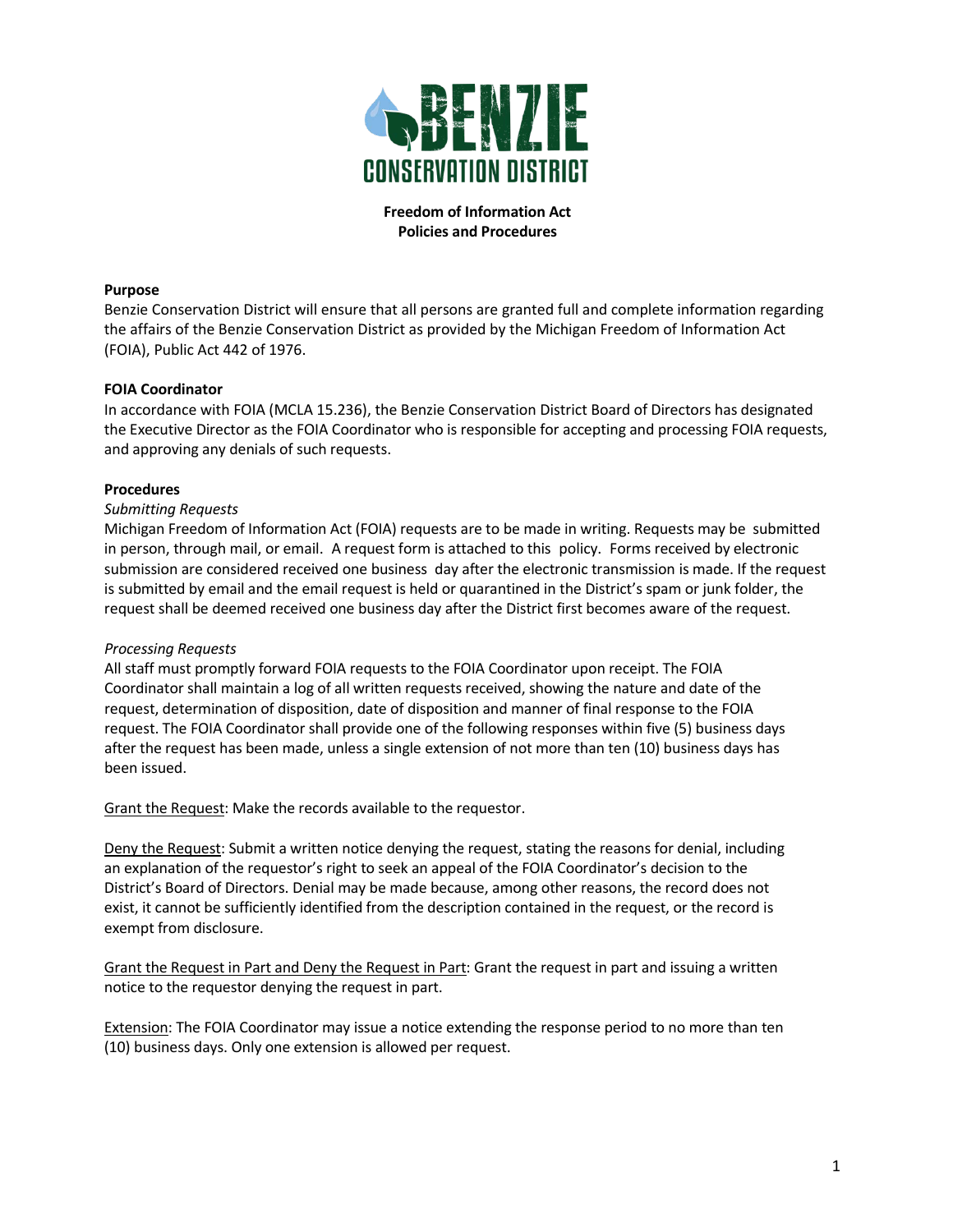

## **Freedom of Information Act Policies and Procedures**

## **Purpose**

Benzie Conservation District will ensure that all persons are granted full and complete information regarding the affairs of the Benzie Conservation District as provided by the Michigan Freedom of Information Act (FOIA), Public Act 442 of 1976.

## **FOIA Coordinator**

In accordance with FOIA (MCLA 15.236), the Benzie Conservation District Board of Directors has designated the Executive Director as the FOIA Coordinator who is responsible for accepting and processing FOIA requests, and approving any denials of such requests.

#### **Procedures**

#### *Submitting Requests*

Michigan Freedom of Information Act (FOIA) requests are to be made in writing. Requests may be submitted in person, through mail, or email. A request form is attached to this policy. Forms received by electronic submission are considered received one business day after the electronic transmission is made. If the request is submitted by email and the email request is held or quarantined in the District's spam or junk folder, the request shall be deemed received one business day after the District first becomes aware of the request.

#### *Processing Requests*

All staff must promptly forward FOIA requests to the FOIA Coordinator upon receipt. The FOIA Coordinator shall maintain a log of all written requests received, showing the nature and date of the request, determination of disposition, date of disposition and manner of final response to the FOIA request. The FOIA Coordinator shall provide one of the following responses within five (5) business days after the request has been made, unless a single extension of not more than ten (10) business days has been issued.

Grant the Request: Make the records available to the requestor.

Deny the Request: Submit a written notice denying the request, stating the reasons for denial, including an explanation of the requestor's right to seek an appeal of the FOIA Coordinator's decision to the District's Board of Directors. Denial may be made because, among other reasons, the record does not exist, it cannot be sufficiently identified from the description contained in the request, or the record is exempt from disclosure.

Grant the Request in Part and Deny the Request in Part: Grant the request in part and issuing a written notice to the requestor denying the request in part.

Extension: The FOIA Coordinator may issue a notice extending the response period to no more than ten (10) business days. Only one extension is allowed per request.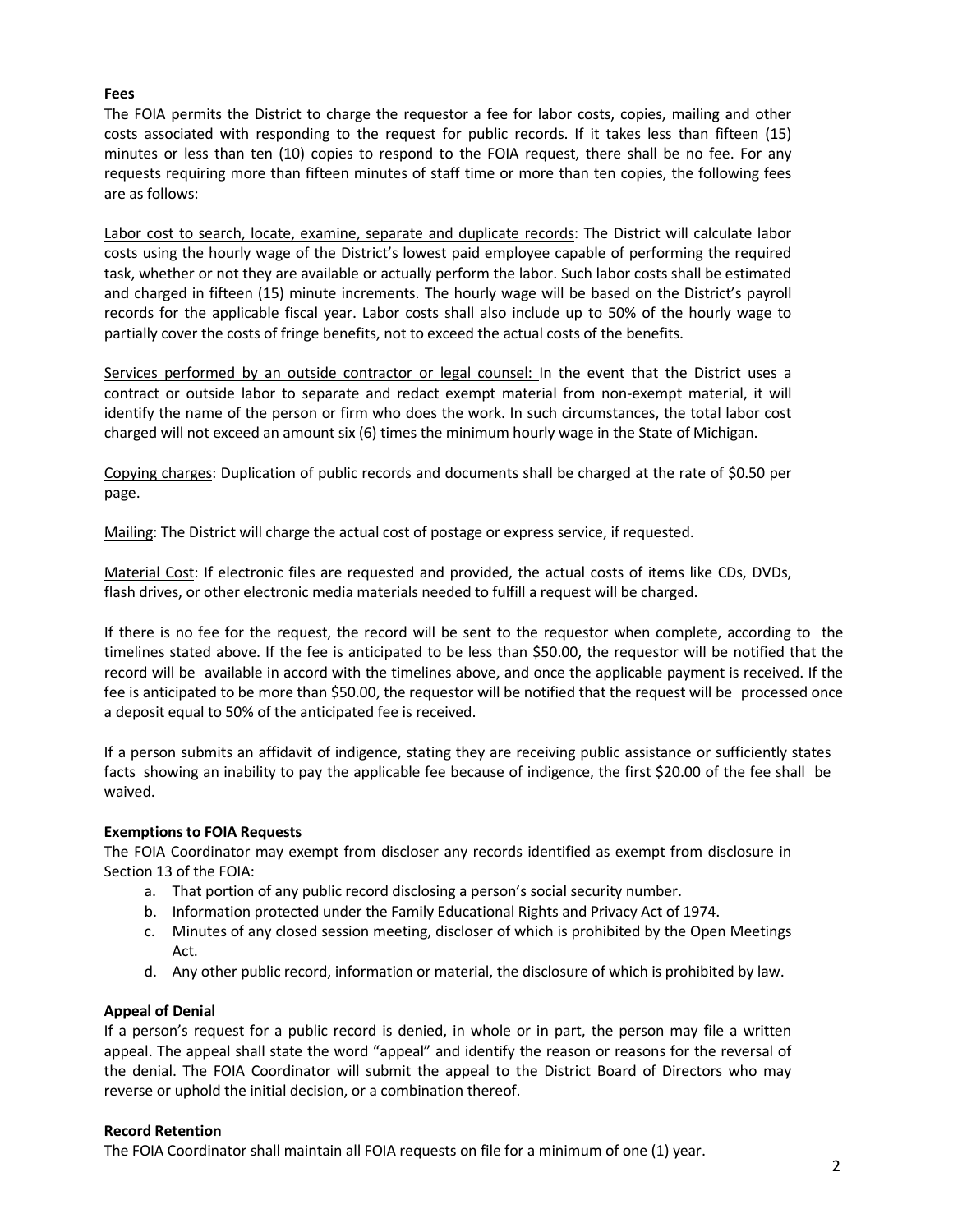## **Fees**

The FOIA permits the District to charge the requestor a fee for labor costs, copies, mailing and other costs associated with responding to the request for public records. If it takes less than fifteen (15) minutes or less than ten (10) copies to respond to the FOIA request, there shall be no fee. For any requests requiring more than fifteen minutes of staff time or more than ten copies, the following fees are as follows:

Labor cost to search, locate, examine, separate and duplicate records: The District will calculate labor costs using the hourly wage of the District's lowest paid employee capable of performing the required task, whether or not they are available or actually perform the labor. Such labor costs shall be estimated and charged in fifteen (15) minute increments. The hourly wage will be based on the District's payroll records for the applicable fiscal year. Labor costs shall also include up to 50% of the hourly wage to partially cover the costs of fringe benefits, not to exceed the actual costs of the benefits.

Services performed by an outside contractor or legal counsel: In the event that the District uses a contract or outside labor to separate and redact exempt material from non-exempt material, it will identify the name of the person or firm who does the work. In such circumstances, the total labor cost charged will not exceed an amount six (6) times the minimum hourly wage in the State of Michigan.

Copying charges: Duplication of public records and documents shall be charged at the rate of \$0.50 per page.

Mailing: The District will charge the actual cost of postage or express service, if requested.

Material Cost: If electronic files are requested and provided, the actual costs of items like CDs, DVDs, flash drives, or other electronic media materials needed to fulfill a request will be charged.

If there is no fee for the request, the record will be sent to the requestor when complete, according to the timelines stated above. If the fee is anticipated to be less than \$50.00, the requestor will be notified that the record will be available in accord with the timelines above, and once the applicable payment is received. If the fee is anticipated to be more than \$50.00, the requestor will be notified that the request will be processed once a deposit equal to 50% of the anticipated fee is received.

If a person submits an affidavit of indigence, stating they are receiving public assistance or sufficiently states facts showing an inability to pay the applicable fee because of indigence, the first \$20.00 of the fee shall be waived.

## **Exemptions to FOIA Requests**

The FOIA Coordinator may exempt from discloser any records identified as exempt from disclosure in Section 13 of the FOIA:

- a. That portion of any public record disclosing a person's social security number.
- b. Information protected under the Family Educational Rights and Privacy Act of 1974.
- c. Minutes of any closed session meeting, discloser of which is prohibited by the Open Meetings Act.
- d. Any other public record, information or material, the disclosure of which is prohibited by law.

#### **Appeal of Denial**

If a person's request for a public record is denied, in whole or in part, the person may file a written appeal. The appeal shall state the word "appeal" and identify the reason or reasons for the reversal of the denial. The FOIA Coordinator will submit the appeal to the District Board of Directors who may reverse or uphold the initial decision, or a combination thereof.

#### **Record Retention**

The FOIA Coordinator shall maintain all FOIA requests on file for a minimum of one (1) year.